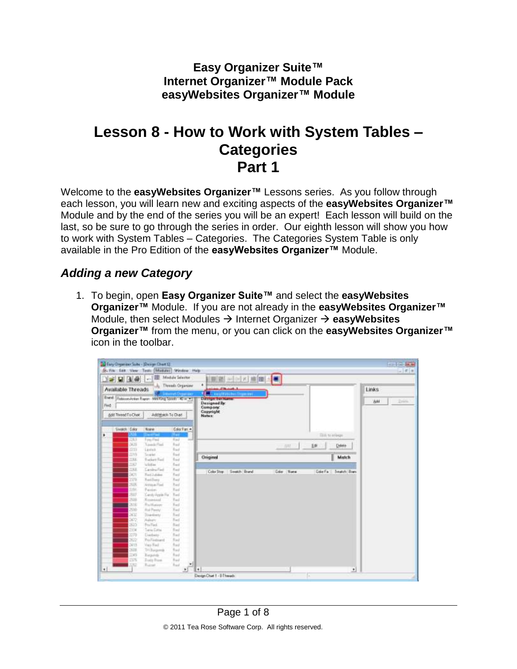**Easy Organizer Suite™ Internet Organizer™ Module Pack easyWebsites Organizer™ Module**

## **Lesson 8 - How to Work with System Tables – Categories Part 1**

Welcome to the **easyWebsites Organizer™** Lessons series. As you follow through each lesson, you will learn new and exciting aspects of the **easyWebsites Organizer™** Module and by the end of the series you will be an expert! Each lesson will build on the last, so be sure to go through the series in order. Our eighth lesson will show you how to work with System Tables – Categories. The Categories System Table is only available in the Pro Edition of the **easyWebsites Organizer™** Module.

## *Adding a new Category*

1. To begin, open **Easy Organizer Suite™** and select the **easyWebsites Organizer™** Module. If you are not already in the **easyWebsites Organizer™** Module, then select Modules  $\rightarrow$  Internet Organizer  $\rightarrow$  easyWebsites **Organizer™** from the menu, or you can click on the **easyWebsites Organizer™** icon in the toolbar.

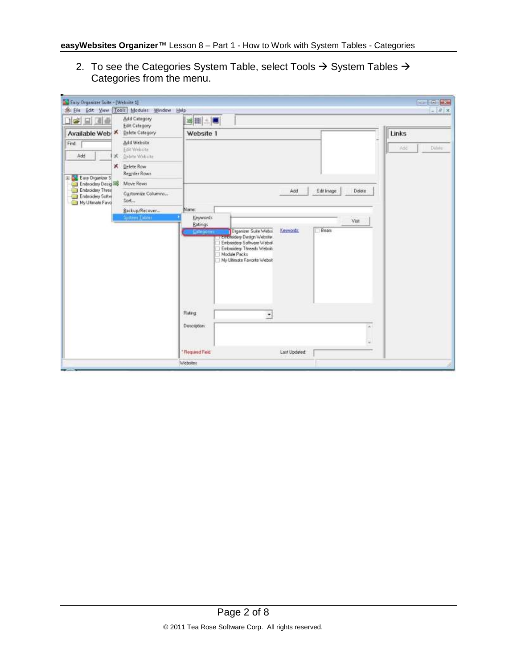2. To see the Categories System Table, select Tools  $\rightarrow$  System Tables  $\rightarrow$ Categories from the menu.

| L. Easy Organizer Suite - [Website 1]                    | Sti Eile Edit View Tools Modules Window Help |                                                                                                                                                                      | <b>CONTROL</b><br>$=$ $\frac{H}{2}$ x |
|----------------------------------------------------------|----------------------------------------------|----------------------------------------------------------------------------------------------------------------------------------------------------------------------|---------------------------------------|
| 口空日回面                                                    | Add Category<br>Edit Category                | 国王三国                                                                                                                                                                 |                                       |
| Available Web                                            | Delete Category                              | Website 1                                                                                                                                                            | Links                                 |
| Find                                                     | Add Website<br>Edit Website                  |                                                                                                                                                                      | Dising<br><b>Add</b>                  |
| Add<br>×                                                 | Delete Website                               |                                                                                                                                                                      |                                       |
| х<br>E Eau Diganizer S                                   | Delete Row<br>Reprofer Rows                  |                                                                                                                                                                      |                                       |
| Embroidery Design                                        | Move Rows                                    |                                                                                                                                                                      |                                       |
| Embroidery Three<br>Embroidery Softw<br>My Ultimate Favo | Customize Columns<br>Sort                    | Add<br>EditImage                                                                                                                                                     | Delete                                |
|                                                          | Backup/Recover<br>System Tables              | Name:<br>Keywords                                                                                                                                                    |                                       |
|                                                          |                                              | Embroidery Design Website<br>Embroidery Saltware Websit<br>Embroidery Threads Websity<br>Module Packs<br>My Ultimate Favorite Websit<br>Rating<br>z.<br>Description: | $\overline{a}$                        |
|                                                          |                                              | *Required Field<br>Last Updated                                                                                                                                      |                                       |
|                                                          |                                              | Webstes                                                                                                                                                              |                                       |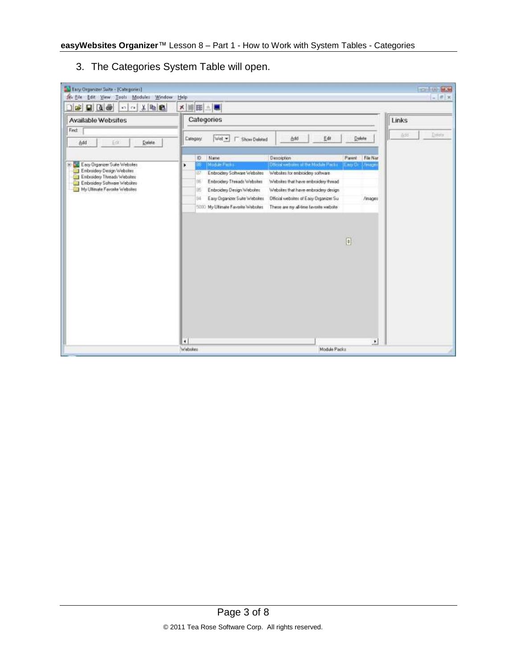3. The Categories System Table will open.

| $\rightarrow$ $\rightarrow$ $\rightarrow$<br>の る 第 品             | ×睡田△■                                                                                                                                                     |               |
|------------------------------------------------------------------|-----------------------------------------------------------------------------------------------------------------------------------------------------------|---------------|
| Available Websites                                               | Categories                                                                                                                                                | Links         |
| Find:                                                            |                                                                                                                                                           | Delete<br>800 |
| Delete<br>Add<br>Em                                              | Edit<br>Delete<br>Wet =<br>Add<br>Category.<br><b>F</b> Show Deleted                                                                                      |               |
|                                                                  | <b>Description</b><br>Parent   File Nar<br>Name<br>iO.                                                                                                    |               |
| 3 L. Easy Organizer Suite Websites<br>Embroidery Design Websites | Module Facilia<br>Official website sit the Module Packs<br>×<br>Eary Or Miniage<br>Websites for embroidery software<br>Enbroidery Software Websites<br>87 |               |
| Enbroidery Threads Websites<br>Embraidery Saltware Websites      | Embroidery Threads Websites<br>Websites that have embroidery thread<br>86                                                                                 |               |
| My Ullimate Favorite Websites                                    | i6<br>Embroidery Design Websites<br>Websites that have embroidery design                                                                                  |               |
|                                                                  | Easy Organizer Suite Websites<br>Official websites of Easy Organizer Su-<br>/inages<br>94                                                                 |               |
|                                                                  | 5000 My Ultimate Favorite Websites<br>These are ny all-line layorite website                                                                              |               |
|                                                                  | $\overline{[}$<br>$\ddot{\phantom{1}}$<br>٠                                                                                                               |               |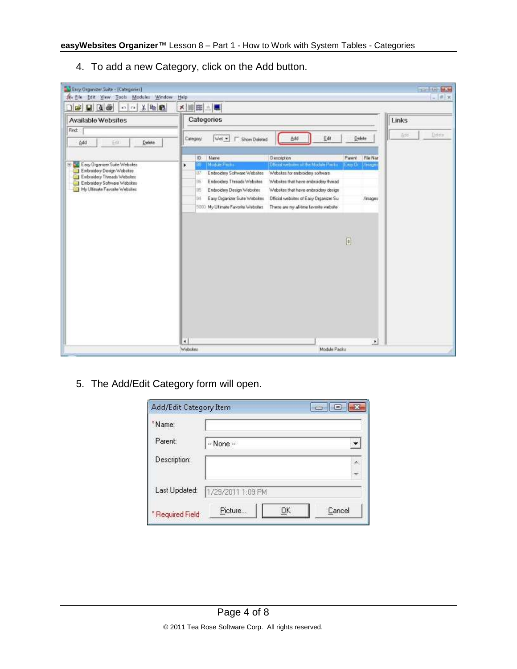- Easy Organizer Suite [Categories] For List BEST Se Ele Edit View Tools Modules Window  $x$ Help **DEED A FOR** ×睡田△■ Available Websites Categories Links Find: Delete Category  $Wet \Box$  Show Deleted Add Edit Delete Add Em Delete **ID** Name Dissolption Parent | File Nat 8 . Easy Organizer Suite Webstes Leny Cir. | Amage Embroidery Design Websites 27 Embroidery Software Websites Websites for embroidery software [6] Embroidery Threads Websites Websites that have embroidery thread Embroidery Software Websites My Ultimate Favorite Websites IS Entroidery Design Webskes Webskes that have embroidery design /inages 1000 My Ultrade Favorite Websites These are my all-lime lavorite website  $\boxed{\mathfrak{g}}$  $\left| \cdot \right|$ ٠ Module Packs Webskes
- 4. To add a new Category, click on the Add button.

5. The Add/Edit Category form will open.

| Add/Edit Category Item | $\overline{\phantom{a}}$<br>ll [a] |  |  |
|------------------------|------------------------------------|--|--|
| *Name:                 |                                    |  |  |
| Parent:                | $-$ None $-$                       |  |  |
| Description:           | ×                                  |  |  |
| Last Updated:          |                                    |  |  |
|                        | 1/29/2011 1:09 PM                  |  |  |
| * Required Field       | Picture<br>ОK<br>Cancel            |  |  |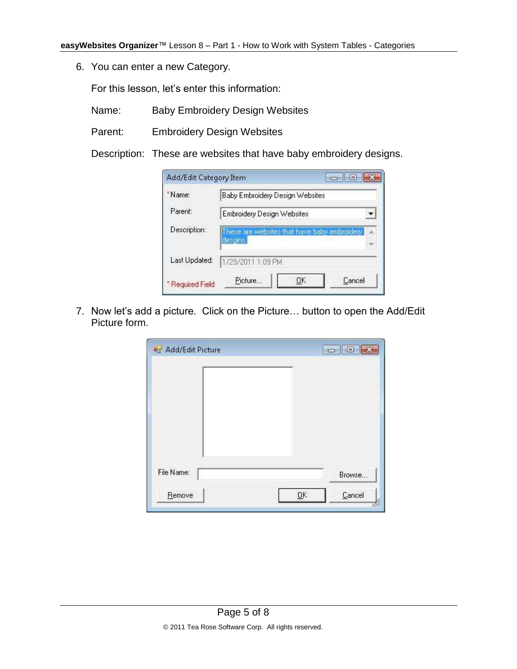6. You can enter a new Category.

For this lesson, let's enter this information:

- Name: Baby Embroidery Design Websites
- Parent: Embroidery Design Websites

Description: These are websites that have baby embroidery designs.

| Add/Edit Category Item      |                                                          | $\Box$ 0     |  |  |
|-----------------------------|----------------------------------------------------------|--------------|--|--|
| *Name:                      | Baby Embroidery Design Websites                          |              |  |  |
| Parent:                     | Embroidery Design Websites                               |              |  |  |
| Description:                | hese are websites that have baby embroidery.<br>desgins. |              |  |  |
| Last Updated:               | 1/29/2011 1:09 PM                                        |              |  |  |
| <sup>*</sup> Required Field | Picture                                                  | Cancel<br>ОK |  |  |

7. Now let's add a picture. Click on the Picture… button to open the Add/Edit Picture form.

| <b>D</b> Add/Edit Picture | $= 0$        |
|---------------------------|--------------|
|                           |              |
|                           |              |
|                           |              |
| File Name:                | Browse       |
| Remove                    | QK<br>Cancel |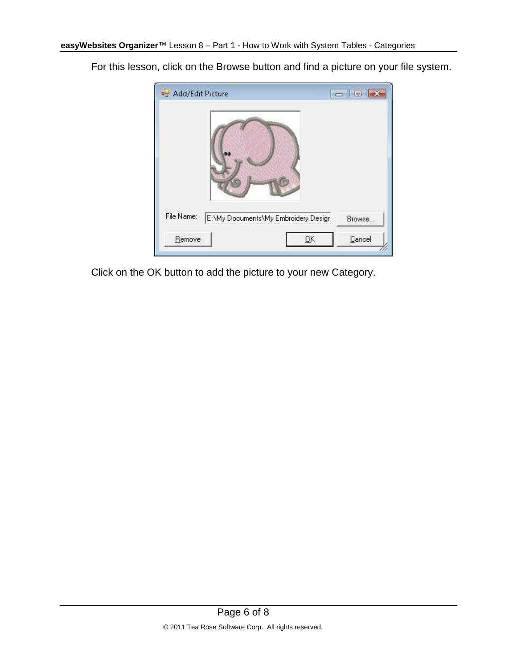Add/Edit Picture  $\begin{picture}(10,10) \put(0,0){\line(1,0){10}} \put(10,0){\line(1,0){10}} \put(10,0){\line(1,0){10}} \put(10,0){\line(1,0){10}} \put(10,0){\line(1,0){10}} \put(10,0){\line(1,0){10}} \put(10,0){\line(1,0){10}} \put(10,0){\line(1,0){10}} \put(10,0){\line(1,0){10}} \put(10,0){\line(1,0){10}} \put(10,0){\line(1,0){10}} \put(10,0){\line(1$ File Name: E:\My Documents\My Embroidery Design Browse...  $\overline{\mathsf{D}}\mathsf{K}$ Cancel Remove

For this lesson, click on the Browse button and find a picture on your file system.

Click on the OK button to add the picture to your new Category.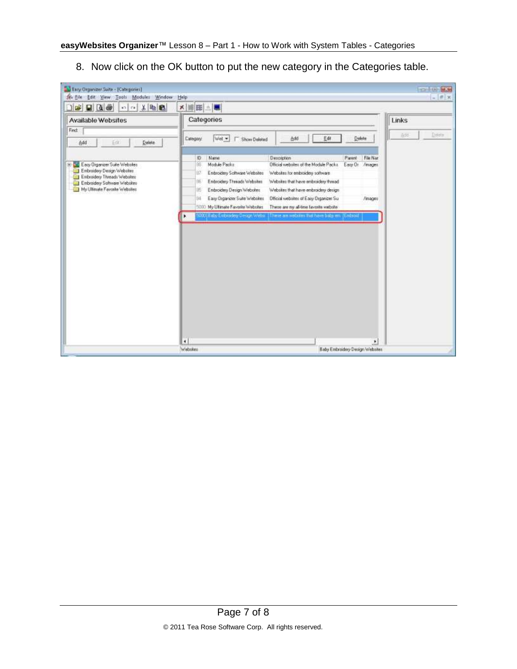8. Now click on the OK button to put the new category in the Categories table.